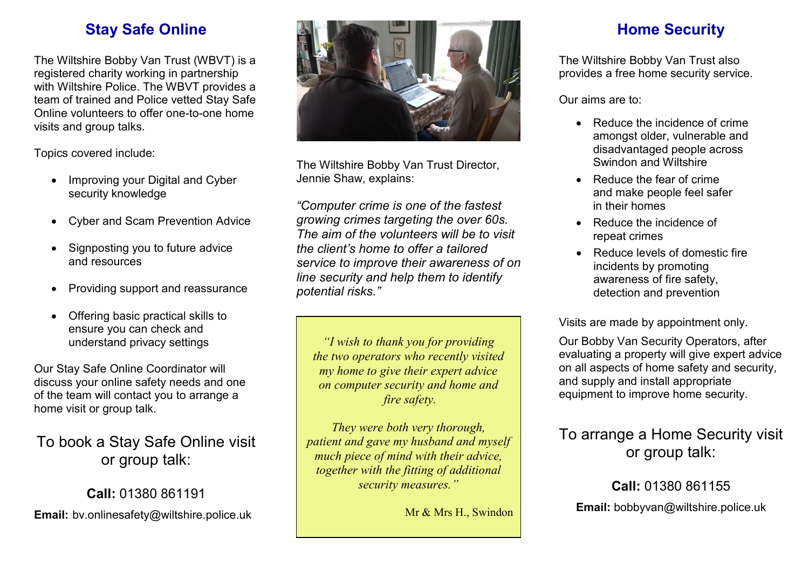## **Stay Safe Online**

The Wiltshire Bobby Van Trust (WBVT) is a registered charity working in partnership with Wiltshire Police. The WBVT provides a team of trained and Police vetted Stay Safe Online volunteers to offer one-to-one home visits and group talks.

Topics covered include:

- Improving your Digital and Cyber security knowledge
- Cyber and Scam Prevention Advice
- Signposting you to future advice and resources
- Providing support and reassurance
- Offering basic practical skills to ensure you can check and understand privacy settings

Our Stay Safe Online Coordinator will discuss your online safety needs and one of the team will contact you to arrange a home visit or group talk.

To book a Stay Safe Online visit or group talk:

**Call:** 01380 861191 **Email:** bv.onlinesafety@wiltshire.police.uk



The Wiltshire Bobby Van Trust Director, Jennie Shaw, explains:

*"Computer crime is one of the fastest growing crimes targeting the over 60s. The aim of the volunteers will be to visit the client's home to offer a tailored service to improve their awareness of on line security and help them to identify potential risks."*

*"I wish to thank you for providing the two operators who recently visited my home to give their expert advice on computer security and home and fire safety.*

*They were both very thorough, patient and gave my husband and myself much piece of mind with their advice, together with the fitting of additional security measures."*

Mr & Mrs H., Swindon

## **Home Security**

The Wiltshire Bobby Van Trust also provides a free home security service.

Our aims are to:

- Reduce the incidence of crime amongst older, vulnerable and disadvantaged people across Swindon and Wiltshire
- Reduce the fear of crime and make people feel safer in their homes
- Reduce the incidence of repeat crimes
- Reduce levels of domestic fire incidents by promoting awareness of fire safety, detection and prevention

Visits are made by appointment only.

Our Bobby Van Security Operators, after evaluating a property will give expert advice on all aspects of home safety and security, and supply and install appropriate equipment to improve home security.

#### To arrange a Home Security visit or group talk:

**Call:** 01380 861155 **Email:** bobbyvan@wiltshire.police.uk